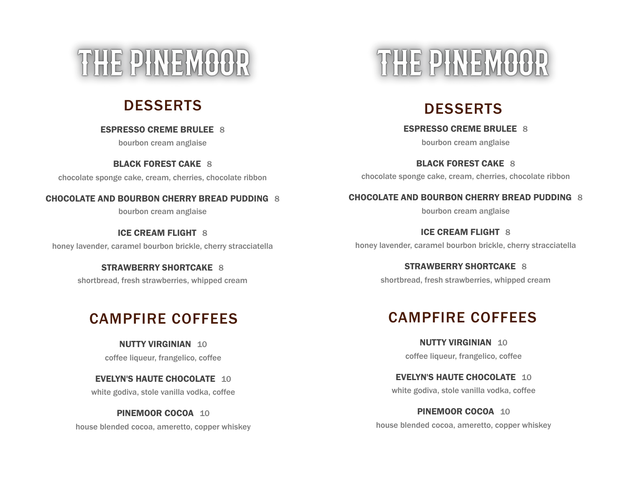# THE PINEMOOR

**ESPRESSO CREME BRULEE** 8

bourbon cream anglaise

**BLACK FOREST CAKE** 8 chocolate sponge cake, cream, cherries, chocolate ribbon

#### **CHOCOLATE AND BOURBON CHERRY BREAD PUDDING** 8

bourbon cream anglaise

**ICE CREAM FLIGHT** 8 honey lavender, caramel bourbon brickle, cherry stracciatella

#### **STRAWBERRY SHORTCAKE** 8

shortbread, fresh strawberries, whipped cream

**NUTTY VIRGINIAN** 10 coffee liqueur, frangelico, coffee

**EVELYN'S HAUTE CHOCOLATE** 10 white godiva, stole vanilla vodka, coffee

**PINEMOOR COCOA** 10 house blended cocoa, ameretto, copper whiskey

# THE PINEMOOR

# DESSERTS DESSERTS

**ESPRESSO CREME BRULEE** 8

bourbon cream anglaise

**BLACK FOREST CAKE** 8 chocolate sponge cake, cream, cherries, chocolate ribbon

### **CHOCOLATE AND BOURBON CHERRY BREAD PUDDING** 8

bourbon cream anglaise

**ICE CREAM FLIGHT** 8 honey lavender, caramel bourbon brickle, cherry stracciatella

> **STRAWBERRY SHORTCAKE** 8 shortbread, fresh strawberries, whipped cream

# CAMPFIRE COFFEES CAMPFIRE COFFEES

**NUTTY VIRGINIAN** 10 coffee liqueur, frangelico, coffee

**EVELYN'S HAUTE CHOCOLATE** 10 white godiva, stole vanilla vodka, coffee

**PINEMOOR COCOA** 10 house blended cocoa, ameretto, copper whiskey